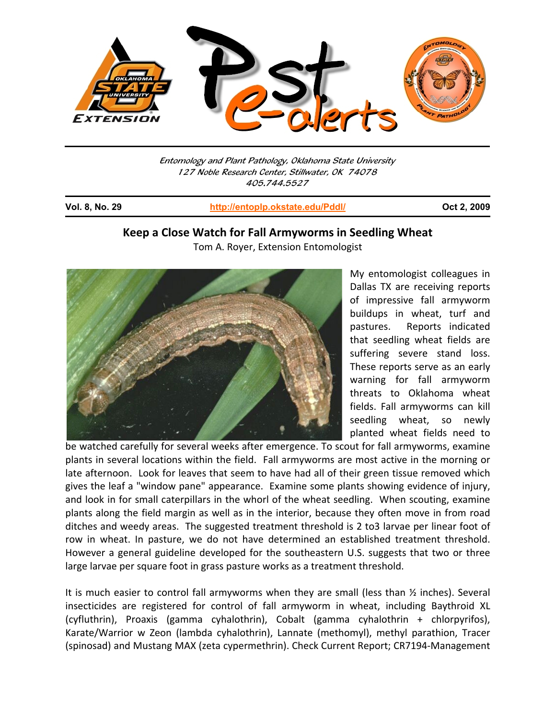

Entomology and Plant Pathology, Oklahoma State University 127 Noble Research Center, Stillwater, OK 74078 405.744.5527

j

**Vol. 8, No. 29 http://entoplp.okstate.edu/Pddl/ Oct 2, 2009**

# **Keep a Close Watch for Fall Armyworms in Seedling Wheat**

Tom A. Royer, Extension Entomologist



My entomologist colleagues in Dallas TX are receiving reports of impressive fall armyworm buildups in wheat, turf and pastures. Reports indicated that seedling wheat fields are suffering severe stand loss. These reports serve as an early warning for fall armyworm threats to Oklahoma wheat fields. Fall armyworms can kill seedling wheat, so newly planted wheat fields need to

be watched carefully for several weeks after emergence. To scout for fall armyworms, examine plants in several locations within the field. Fall armyworms are most active in the morning or late afternoon. Look for leaves that seem to have had all of their green tissue removed which gives the leaf a "window pane" appearance. Examine some plants showing evidence of injury, and look in for small caterpillars in the whorl of the wheat seedling. When scouting, examine plants along the field margin as well as in the interior, because they often move in from road ditches and weedy areas. The suggested treatment threshold is 2 to3 larvae per linear foot of row in wheat. In pasture, we do not have determined an established treatment threshold. However a general guideline developed for the southeastern U.S. suggests that two or three large larvae per square foot in grass pasture works as a treatment threshold.

It is much easier to control fall armyworms when they are small (less than ½ inches). Several insecticides are registered for control of fall armyworm in wheat, including Baythroid XL (cyfluthrin), Proaxis (gamma cyhalothrin), Cobalt (gamma cyhalothrin + chlorpyrifos), Karate/Warrior w Zeon (lambda cyhalothrin), Lannate (methomyl), methyl parathion, Tracer (spinosad) and Mustang MAX (zeta cypermethrin). Check Current Report; CR7194‐Management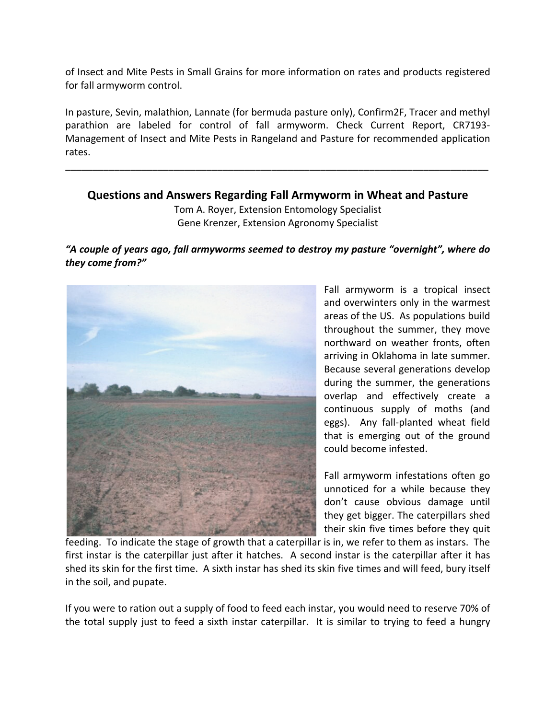of Insect and Mite Pests in Small Grains for more information on rates and products registered for fall armyworm control.

In pasture, Sevin, malathion, Lannate (for bermuda pasture only), Confirm2F, Tracer and methyl parathion are labeled for control of fall armyworm. Check Current Report, CR7193‐ Management of Insect and Mite Pests in Rangeland and Pasture for recommended application rates.

## **Questions and Answers Regarding Fall Armyworm in Wheat and Pasture**

\_\_\_\_\_\_\_\_\_\_\_\_\_\_\_\_\_\_\_\_\_\_\_\_\_\_\_\_\_\_\_\_\_\_\_\_\_\_\_\_\_\_\_\_\_\_\_\_\_\_\_\_\_\_\_\_\_\_\_\_\_\_\_\_\_\_\_\_\_\_\_\_\_\_\_\_\_\_

Tom A. Royer, Extension Entomology Specialist Gene Krenzer, Extension Agronomy Specialist

## *"A couple of years ago, fall armyworms seemed to destroy my pasture "overnight", where do they come from?"*



Fall armyworm is a tropical insect and overwinters only in the warmest areas of the US. As populations build throughout the summer, they move northward on weather fronts, often arriving in Oklahoma in late summer. Because several generations develop during the summer, the generations overlap and effectively create a continuous supply of moths (and eggs). Any fall-planted wheat field that is emerging out of the ground could become infested.

Fall armyworm infestations often go unnoticed for a while because they don't cause obvious damage until they get bigger. The caterpillars shed their skin five times before they quit

feeding. To indicate the stage of growth that a caterpillar is in, we refer to them as instars. The first instar is the caterpillar just after it hatches. A second instar is the caterpillar after it has shed its skin for the first time. A sixth instar has shed its skin five times and will feed, bury itself in the soil, and pupate.

If you were to ration out a supply of food to feed each instar, you would need to reserve 70% of the total supply just to feed a sixth instar caterpillar. It is similar to trying to feed a hungry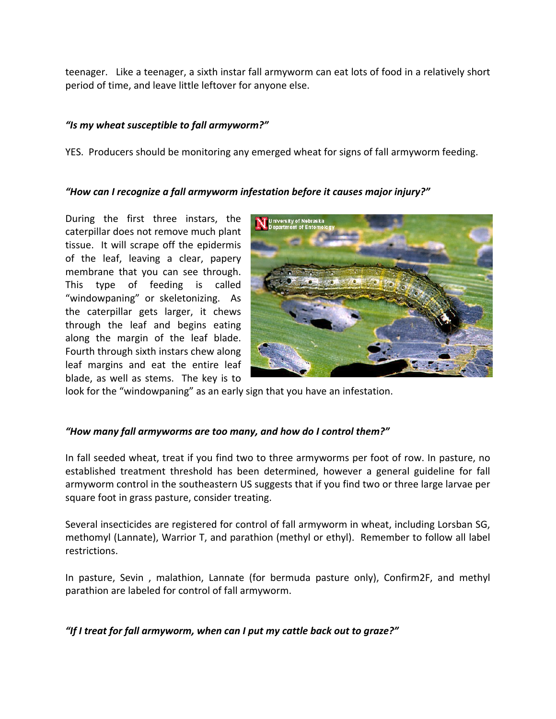teenager. Like a teenager, a sixth instar fall armyworm can eat lots of food in a relatively short period of time, and leave little leftover for anyone else.

## *"Is my wheat susceptible to fall armyworm?"*

YES. Producers should be monitoring any emerged wheat for signs of fall armyworm feeding.

## *"How can I recognize a fall armyworm infestation before it causes major injury?"*

During the first three instars, the caterpillar does not remove much plant tissue. It will scrape off the epidermis of the leaf, leaving a clear, papery membrane that you can see through. This type of feeding is called "windowpaning" or skeletonizing. As the caterpillar gets larger, it chews through the leaf and begins eating along the margin of the leaf blade. Fourth through sixth instars chew along leaf margins and eat the entire leaf blade, as well as stems. The key is to



look for the "windowpaning" as an early sign that you have an infestation.

## *"How many fall armyworms are too many, and how do I control them?"*

In fall seeded wheat, treat if you find two to three armyworms per foot of row. In pasture, no established treatment threshold has been determined, however a general guideline for fall armyworm control in the southeastern US suggests that if you find two or three large larvae per square foot in grass pasture, consider treating.

Several insecticides are registered for control of fall armyworm in wheat, including Lorsban SG, methomyl (Lannate), Warrior T, and parathion (methyl or ethyl). Remember to follow all label restrictions.

In pasture, Sevin , malathion, Lannate (for bermuda pasture only), Confirm2F, and methyl parathion are labeled for control of fall armyworm.

*"If I treat for fall armyworm, when can I put my cattle back out to graze?"*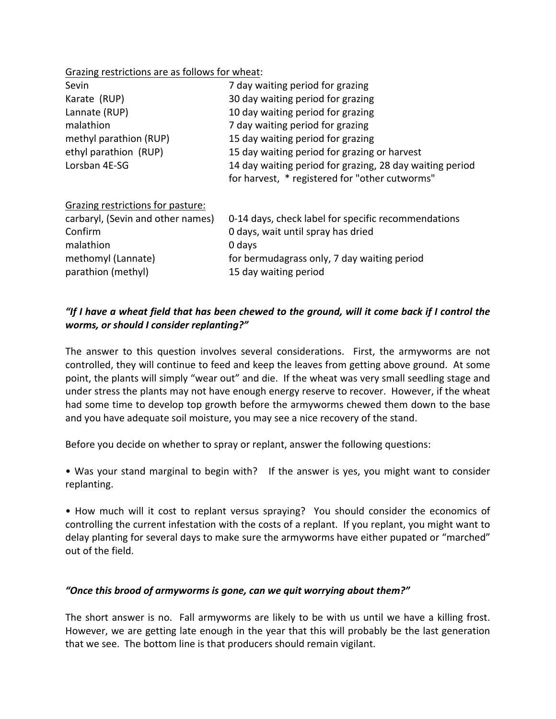#### Grazing restrictions are as follows for wheat:

| Sevin                             | 7 day waiting period for grazing                         |
|-----------------------------------|----------------------------------------------------------|
| Karate (RUP)                      | 30 day waiting period for grazing                        |
| Lannate (RUP)                     | 10 day waiting period for grazing                        |
| malathion                         | 7 day waiting period for grazing                         |
| methyl parathion (RUP)            | 15 day waiting period for grazing                        |
| ethyl parathion (RUP)             | 15 day waiting period for grazing or harvest             |
| Lorsban 4E-SG                     | 14 day waiting period for grazing, 28 day waiting period |
|                                   | for harvest, * registered for "other cutworms"           |
| Grazing restrictions for pasture: |                                                          |
| carbaryl, (Sevin and other names) | 0-14 days, check label for specific recommendations      |
| Confirm                           | 0 days, wait until spray has dried                       |
| malathion                         | 0 days                                                   |
| methomyl (Lannate)                | for bermudagrass only, 7 day waiting period              |
| parathion (methyl)                | 15 day waiting period                                    |

## "If I have a wheat field that has been chewed to the ground, will it come back if I control the *worms, or should I consider replanting?"*

The answer to this question involves several considerations. First, the armyworms are not controlled, they will continue to feed and keep the leaves from getting above ground. At some point, the plants will simply "wear out" and die. If the wheat was very small seedling stage and under stress the plants may not have enough energy reserve to recover. However, if the wheat had some time to develop top growth before the armyworms chewed them down to the base and you have adequate soil moisture, you may see a nice recovery of the stand.

Before you decide on whether to spray or replant, answer the following questions:

• Was your stand marginal to begin with? If the answer is yes, you might want to consider replanting.

• How much will it cost to replant versus spraying? You should consider the economics of controlling the current infestation with the costs of a replant. If you replant, you might want to delay planting for several days to make sure the armyworms have either pupated or "marched" out of the field.

### *"Once this brood of armyworms is gone, can we quit worrying about them?"*

The short answer is no. Fall armyworms are likely to be with us until we have a killing frost. However, we are getting late enough in the year that this will probably be the last generation that we see. The bottom line is that producers should remain vigilant.